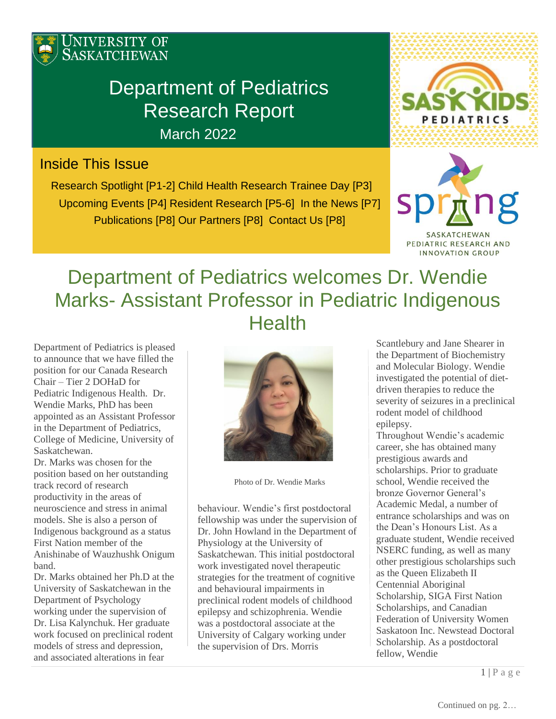

# Department of Pediatrics Research Report

March 2022

## Inside This Issue

Research Spotlight [P1-2] Child Health Research Trainee Day [P3] Upcoming Events [P4] Resident Research [P5-6] In the News [P7] Publications [P8] Our Partners [P8] Contact Us [P8]



SĮ

SASKATCHEWAN PEDIATRIC RESEARCH AND INNOVATION GROUP

## Department of Pediatrics welcomes Dr. Wendie Marks- Assistant Professor in Pediatric Indigenous **Health**

Department of Pediatrics is pleased to announce that we have filled the position for our Canada Research Chair – Tier 2 DOHaD for Pediatric Indigenous Health. Dr. Wendie Marks, PhD has been appointed as an Assistant Professor in the Department of Pediatrics, College of Medicine, University of Saskatchewan.

Dr. Marks was chosen for the position based on her outstanding track record of research productivity in the areas of neuroscience and stress in animal models. She is also a person of Indigenous background as a status First Nation member of the Anishinabe of Wauzhushk Onigum band.

Dr. Marks obtained her Ph.D at the University of Saskatchewan in the Department of Psychology working under the supervision of Dr. Lisa Kalynchuk. Her graduate work focused on preclinical rodent models of stress and depression, and associated alterations in fear



Photo of Dr. Wendie Marks

behaviour. Wendie's first postdoctoral fellowship was under the supervision of Dr. John Howland in the Department of Physiology at the University of Saskatchewan. This initial postdoctoral work investigated novel therapeutic strategies for the treatment of cognitive and behavioural impairments in preclinical rodent models of childhood epilepsy and schizophrenia. Wendie was a postdoctoral associate at the University of Calgary working under the supervision of Drs. Morris

Scantlebury and Jane Shearer in the Department of Biochemistry and Molecular Biology. Wendie investigated the potential of dietdriven therapies to reduce the severity of seizures in a preclinical rodent model of childhood epilepsy.

Throughout Wendie's academic career, she has obtained many prestigious awards and scholarships. Prior to graduate school, Wendie received the bronze Governor General's Academic Medal, a number of entrance scholarships and was on the Dean's Honours List. As a graduate student, Wendie received NSERC funding, as well as many other prestigious scholarships such as the Queen Elizabeth II Centennial Aboriginal Scholarship, SIGA First Nation Scholarships, and Canadian Federation of University Women Saskatoon Inc. Newstead Doctoral Scholarship. As a postdoctoral fellow, Wendie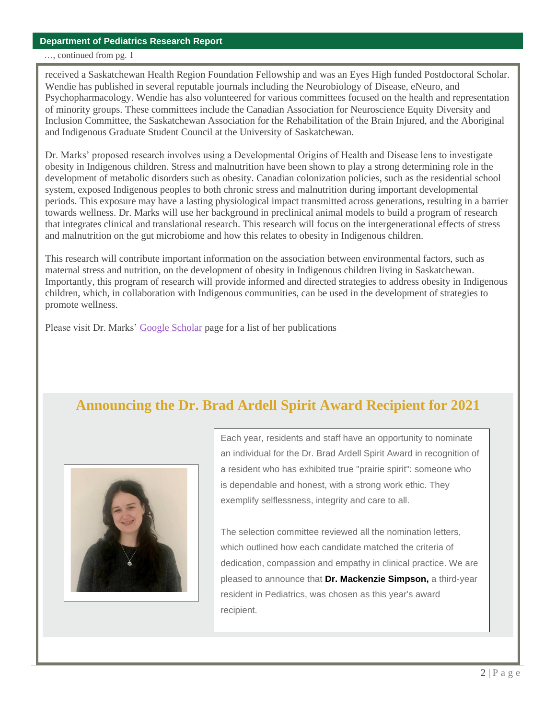#### **Department of Pediatrics Research Report**

…, continued from pg. 1

received a Saskatchewan Health Region Foundation Fellowship and was an Eyes High funded Postdoctoral Scholar. Wendie has published in several reputable journals including the Neurobiology of Disease, eNeuro, and Psychopharmacology. Wendie has also volunteered for various committees focused on the health and representation of minority groups. These committees include the Canadian Association for Neuroscience Equity Diversity and Inclusion Committee, the Saskatchewan Association for the Rehabilitation of the Brain Injured, and the Aboriginal and Indigenous Graduate Student Council at the University of Saskatchewan.

Dr. Marks' proposed research involves using a Developmental Origins of Health and Disease lens to investigate obesity in Indigenous children. Stress and malnutrition have been shown to play a strong determining role in the development of metabolic disorders such as obesity. Canadian colonization policies, such as the residential school system, exposed Indigenous peoples to both chronic stress and malnutrition during important developmental periods. This exposure may have a lasting physiological impact transmitted across generations, resulting in a barrier towards wellness. Dr. Marks will use her background in preclinical animal models to build a program of research that integrates clinical and translational research. This research will focus on the intergenerational effects of stress and malnutrition on the gut microbiome and how this relates to obesity in Indigenous children.

This research will contribute important information on the association between environmental factors, such as maternal stress and nutrition, on the development of obesity in Indigenous children living in Saskatchewan. Importantly, this program of research will provide informed and directed strategies to address obesity in Indigenous children, which, in collaboration with Indigenous communities, can be used in the development of strategies to promote wellness.

Please visit Dr. Marks' [Google Scholar](https://scholar.google.com/citations?user=Y286fjEAAAAJ&hl=en&oi=ao) page for a list of her publications

## **Announcing the Dr. Brad Ardell Spirit Award Recipient for 2021**



Each year, residents and staff have an opportunity to nominate an individual for the Dr. Brad Ardell Spirit Award in recognition of a resident who has exhibited true "prairie spirit": someone who is dependable and honest, with a strong work ethic. They exemplify selflessness, integrity and care to all.

The selection committee reviewed all the nomination letters, which outlined how each candidate matched the criteria of dedication, compassion and empathy in clinical practice. We are pleased to announce that **Dr. Mackenzie Simpson,** a third-year resident in Pediatrics, was chosen as this year's award recipient.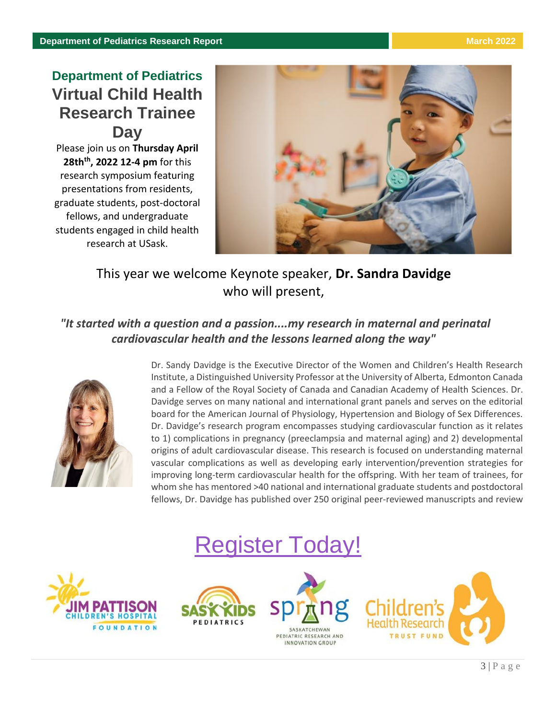## **Department of Pediatrics Virtual Child Health Research Trainee Day**

Please join us on **Thursday April 28thth, 2022 12-4 pm** for this research symposium featuring presentations from residents, graduate students, post-doctoral fellows, and undergraduate students engaged in child health research at USask.



## This year we welcome Keynote speaker, **Dr. Sandra Davidge** who will present,

## *"It started with a question and a passion....my research in maternal and perinatal cardiovascular health and the lessons learned along the way"*



Dr. Sandy Davidge is the Executive Director of the Women and Children's Health Research Institute, a Distinguished University Professor at the University of Alberta, Edmonton Canada and a Fellow of the Royal Society of Canada and Canadian Academy of Health Sciences. Dr. Davidge serves on many national and international grant panels and serves on the editorial board for the American Journal of Physiology, Hypertension and Biology of Sex Differences. Dr. Davidge's research program encompasses studying cardiovascular function as it relates to 1) complications in pregnancy (preeclampsia and maternal aging) and 2) developmental origins of adult cardiovascular disease. This research is focused on understanding maternal vascular complications as well as developing early intervention/prevention strategies for improving long-term cardiovascular health for the offspring. With her team of trainees, for whom she has mentored >40 national and international graduate students and postdoctoral fellows, Dr. Davidge has published over 250 original peer-reviewed manuscripts and review

# [Register Today!](https://www.eventbrite.ca/e/2022-child-health-research-trainee-day-tickets-287877247597)







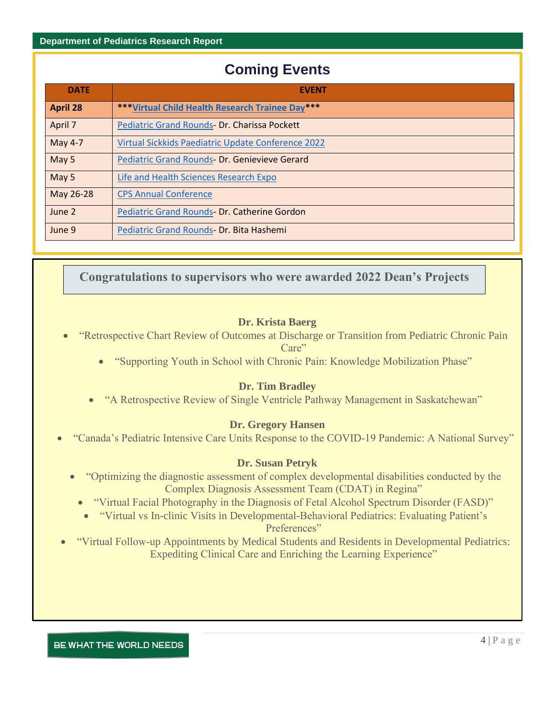## **Coming Events**

| <b>DATE</b>     | <b>EVENT</b>                                       |
|-----------------|----------------------------------------------------|
| <b>April 28</b> | ***Virtual Child Health Research Trainee Day***    |
| April 7         | Pediatric Grand Rounds- Dr. Charissa Pockett       |
| May 4-7         | Virtual Sickkids Paediatric Update Conference 2022 |
| May 5           | Pediatric Grand Rounds- Dr. Genievieve Gerard      |
| May 5           | Life and Health Sciences Research Expo             |
| May 26-28       | <b>CPS Annual Conference</b>                       |
| June 2          | Pediatric Grand Rounds- Dr. Catherine Gordon       |
| June 9          | Pediatric Grand Rounds- Dr. Bita Hashemi           |

### **Congratulations to supervisors who were awarded 2022 Dean's Projects**

#### **Dr. Krista Baerg**

- "Retrospective Chart Review of Outcomes at Discharge or Transition from Pediatric Chronic Pain Care"
	- "Supporting Youth in School with Chronic Pain: Knowledge Mobilization Phase"

#### **Dr. Tim Bradley**

• "A Retrospective Review of Single Ventricle Pathway Management in Saskatchewan"

#### **Dr. Gregory Hansen**

• "Canada's Pediatric Intensive Care Units Response to the COVID-19 Pandemic: A National Survey"

#### **Dr. Susan Petryk**

- "Optimizing the diagnostic assessment of complex developmental disabilities conducted by the Complex Diagnosis Assessment Team (CDAT) in Regina"
- "Virtual Facial Photography in the Diagnosis of Fetal Alcohol Spectrum Disorder (FASD)"
- "Virtual vs In-clinic Visits in Developmental-Behavioral Pediatrics: Evaluating Patient's

Preferences"

• "Virtual Follow-up Appointments by Medical Students and Residents in Developmental Pediatrics: Expediting Clinical Care and Enriching the Learning Experience"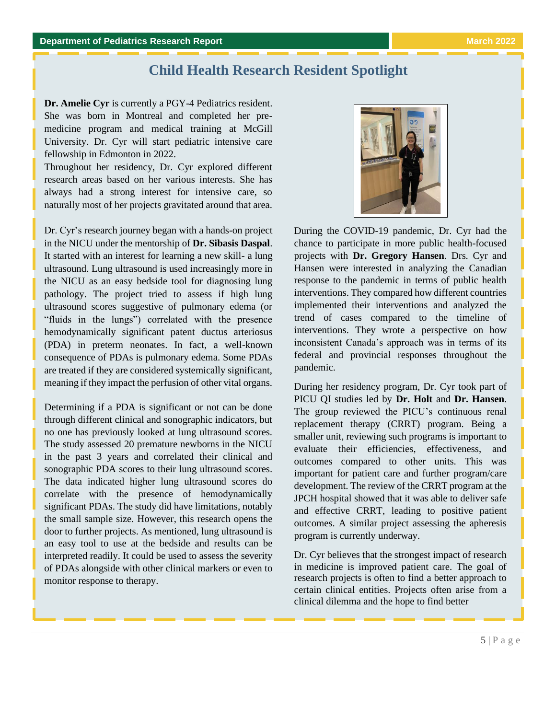## **Child Health Research Resident Spotlight**

**Dr. Amelie Cyr** is currently a PGY-4 Pediatrics resident. She was born in Montreal and completed her premedicine program and medical training at McGill University. Dr. Cyr will start pediatric intensive care fellowship in Edmonton in 2022.

Throughout her residency, Dr. Cyr explored different research areas based on her various interests. She has always had a strong interest for intensive care, so naturally most of her projects gravitated around that area.

Dr. Cyr's research journey began with a hands-on project in the NICU under the mentorship of **Dr. Sibasis Daspal**. It started with an interest for learning a new skill- a lung ultrasound. Lung ultrasound is used increasingly more in the NICU as an easy bedside tool for diagnosing lung pathology. The project tried to assess if high lung ultrasound scores suggestive of pulmonary edema (or "fluids in the lungs") correlated with the presence hemodynamically significant patent ductus arteriosus (PDA) in preterm neonates. In fact, a well-known consequence of PDAs is pulmonary edema. Some PDAs are treated if they are considered systemically significant, meaning if they impact the perfusion of other vital organs.

Determining if a PDA is significant or not can be done through different clinical and sonographic indicators, but no one has previously looked at lung ultrasound scores. The study assessed 20 premature newborns in the NICU in the past 3 years and correlated their clinical and sonographic PDA scores to their lung ultrasound scores. The data indicated higher lung ultrasound scores do correlate with the presence of hemodynamically significant PDAs. The study did have limitations, notably the small sample size. However, this research opens the door to further projects. As mentioned, lung ultrasound is an easy tool to use at the bedside and results can be interpreted readily. It could be used to assess the severity of PDAs alongside with other clinical markers or even to monitor response to therapy.



During the COVID-19 pandemic, Dr. Cyr had the chance to participate in more public health-focused projects with **Dr. Gregory Hansen**. Drs. Cyr and Hansen were interested in analyzing the Canadian response to the pandemic in terms of public health interventions. They compared how different countries implemented their interventions and analyzed the trend of cases compared to the timeline of interventions. They wrote a perspective on how inconsistent Canada's approach was in terms of its federal and provincial responses throughout the pandemic.

During her residency program, Dr. Cyr took part of PICU QI studies led by **Dr. Holt** and **Dr. Hansen**. The group reviewed the PICU's continuous renal replacement therapy (CRRT) program. Being a smaller unit, reviewing such programs is important to evaluate their efficiencies, effectiveness, and outcomes compared to other units. This was important for patient care and further program/care development. The review of the CRRT program at the JPCH hospital showed that it was able to deliver safe and effective CRRT, leading to positive patient outcomes. A similar project assessing the apheresis program is currently underway.

Dr. Cyr believes that the strongest impact of research in medicine is improved patient care. The goal of research projects is often to find a better approach to certain clinical entities. Projects often arise from a clinical dilemma and the hope to find better

Continued on page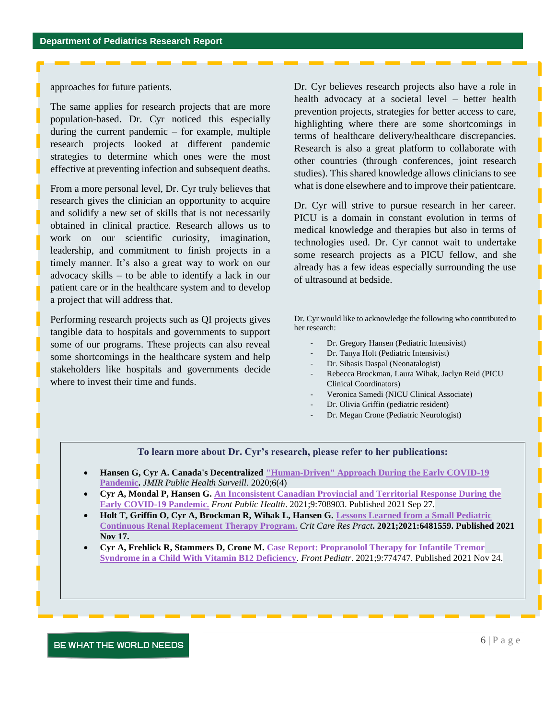approaches for future patients.

The same applies for research projects that are more population-based. Dr. Cyr noticed this especially during the current pandemic – for example, multiple research projects looked at different pandemic strategies to determine which ones were the most effective at preventing infection and subsequent deaths.

From a more personal level, Dr. Cyr truly believes that research gives the clinician an opportunity to acquire and solidify a new set of skills that is not necessarily obtained in clinical practice. Research allows us to work on our scientific curiosity, imagination, leadership, and commitment to finish projects in a timely manner. It's also a great way to work on our advocacy skills – to be able to identify a lack in our patient care or in the healthcare system and to develop a project that will address that.

Performing research projects such as QI projects gives tangible data to hospitals and governments to support some of our programs. These projects can also reveal some shortcomings in the healthcare system and help stakeholders like hospitals and governments decide where to invest their time and funds.

Dr. Cyr believes research projects also have a role in health advocacy at a societal level – better health prevention projects, strategies for better access to care, highlighting where there are some shortcomings in terms of healthcare delivery/healthcare discrepancies. Research is also a great platform to collaborate with other countries (through conferences, joint research studies). This shared knowledge allows clinicians to see what is done elsewhere and to improve their patientcare.

Dr. Cyr will strive to pursue research in her career. PICU is a domain in constant evolution in terms of medical knowledge and therapies but also in terms of technologies used. Dr. Cyr cannot wait to undertake some research projects as a PICU fellow, and she already has a few ideas especially surrounding the use of ultrasound at bedside.

Dr. Cyr would like to acknowledge the following who contributed to her research:

- Dr. Gregory Hansen (Pediatric Intensivist)
- Dr. Tanya Holt (Pediatric Intensivist)
- Dr. Sibasis Daspal (Neonatalogist)
- Rebecca Brockman, Laura Wihak, Jaclyn Reid (PICU Clinical Coordinators)
- Veronica Samedi (NICU Clinical Associate)
- Dr. Olivia Griffin (pediatric resident)
- Dr. Megan Crone (Pediatric Neurologist)

**To learn more about Dr. Cyr's research, please refer to her publications:**

- **Hansen G, Cyr A. Canada's Decentralized ["Human-Driven" Approach During the Early COVID-19](https://publichealth.jmir.org/2020/4/e20343/)  [Pandemic.](https://publichealth.jmir.org/2020/4/e20343/)** *JMIR Public Health Surveill*. 2020;6(4)
- **Cyr A, Mondal P, Hansen G. [An Inconsistent Canadian Provincial and Territorial Response During the](https://www.ncbi.nlm.nih.gov/pmc/articles/PMC8502853/)  [Early COVID-19 Pandemic.](https://www.ncbi.nlm.nih.gov/pmc/articles/PMC8502853/)** *Front Public Health*. 2021;9:708903. Published 2021 Sep 27.
- **Holt T, Griffin O, Cyr A, Brockman R, Wihak L, Hansen G. [Lessons Learned from a Small Pediatric](https://www.hindawi.com/journals/ccrp/2021/6481559/)  [Continuous Renal Replacement Therapy Program.](https://www.hindawi.com/journals/ccrp/2021/6481559/)** *Crit Care Res Pract***. 2021;2021:6481559. Published 2021 Nov 17.**
- **Cyr A, Frehlick R, Stammers D, Crone M. [Case Report: Propranolol Therapy for Infantile Tremor](https://www.ncbi.nlm.nih.gov/pmc/articles/PMC8652196/)  [Syndrome in a Child With Vitamin B12 Deficiency](https://www.ncbi.nlm.nih.gov/pmc/articles/PMC8652196/)**. *Front Pediatr*. 2021;9:774747. Published 2021 Nov 24.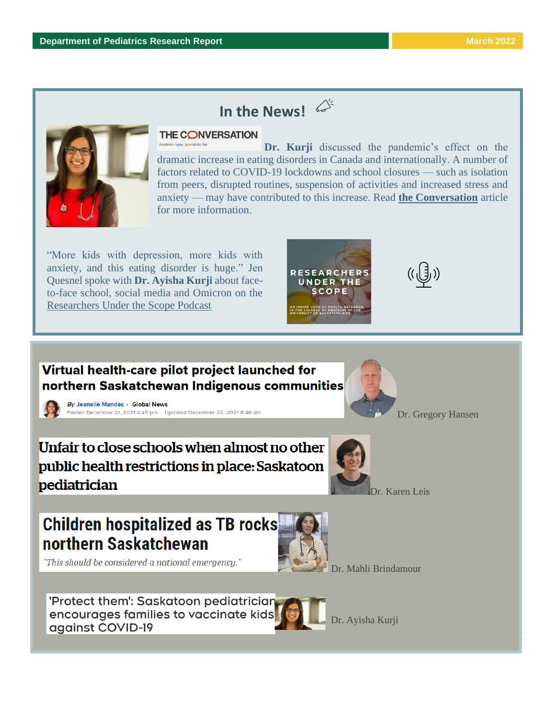# **In the News!**



#### THE CONVERSATION

Dr. Kurji discussed the pandemic's effect on the dramatic increase in eating disorders in Canada and internationally. A number of factors related to COVID-19 lockdowns and school closures — such as isolation from peers, disrupted routines, suspension of activities and increased stress and anxiety — may have contributed to this increase. Read **[the Conversation](https://theconversation.com/eating-disorders-have-increased-during-covid-19-heres-how-to-recognize-them-and-how-to-help-171455)** article for more information.

"More kids with depression, more kids with anxiety, and this eating disorder is huge." Jen Quesnel spoke with **Dr. Ayisha Kurji** about faceto-face school, social media and Omicron on the [Researchers Under the Scope Podcast](https://www.listennotes.com/podcasts/researchers-under/the-kids-are-not-all-right-wYsJOa62RUr/)





### Virtual health-care pilot project launched for northern Saskatchewan Indigenous communities



By Jeanelle Mandes · Global News Posted December 21, 2021 4:45 pm · Updated December 22, 2021 8:46 am

Unfair to close schools when almost no other public health restrictions in place: Saskatoon pediatrician



Dr. Gregory Hansen

Dr. Karen Leis

## **Children hospitalized as TB rocks** northern Saskatchewan

"This should be considered a national emergency."

'Protect them': Saskatoon pediatrician encourages families to vaccinate kids against COVID-19

Dr. Ayisha Kurji

Dr. Mahli Brindamour